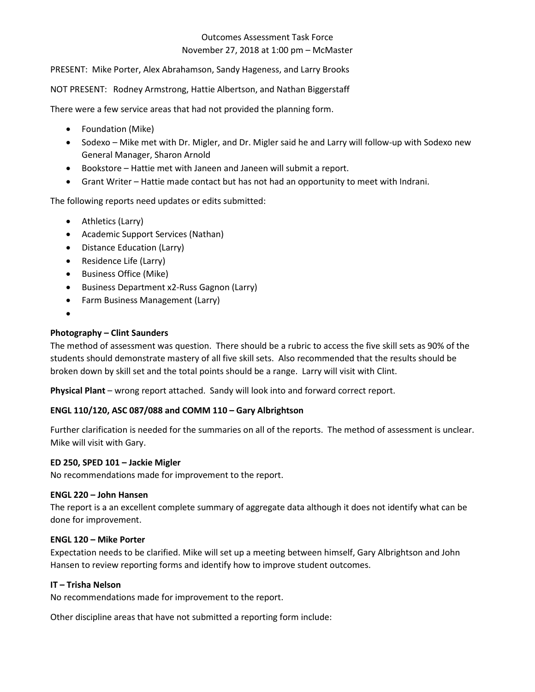# November 27, 2018 at 1:00 pm – McMaster Outcomes Assessment Task Force

PRESENT: Mike Porter, Alex Abrahamson, Sandy Hageness, and Larry Brooks<br>NOT PRESENT: Rodney Armstrong, Hattie Albertson, and Nathan Biggerstaff

There were a few service areas that had not provided the planning form.

- Foundation (Mike)
- • Sodexo Mike met with Dr. Migler, and Dr. Migler said he and Larry will follow-up with Sodexo new General Manager, Sharon Arnold
- Bookstore Hattie met with Janeen and Janeen will submit a report.
- Grant Writer Hattie made contact but has not had an opportunity to meet with Indrani.

The following reports need updates or edits submitted:

- Athletics (Larry)
- Academic Support Services (Nathan)
- Distance Education (Larry)
- Residence Life (Larry)
- Business Office (Mike)
- Business Department x2-Russ Gagnon (Larry)
- Farm Business Management (Larry)
- •

#### **Photography – Clint Saunders**

 The method of assessment was question. There should be a rubric to access the five skill sets as 90% of the broken down by skill set and the total points should be a range. Larry will visit with Clint. students should demonstrate mastery of all five skill sets. Also recommended that the results should be

**Physical Plant** – wrong report attached. Sandy will look into and forward correct report.

#### **ENGL 110/120, ASC 087/088 and COMM 110 – Gary Albrightson**

Further clarification is needed for the summaries on all of the reports. The method of assessment is unclear.<br>Mike will visit with Gary. Mike will visit with Gary.

#### **ED 250, SPED 101 – Jackie Migler**

No recommendations made for improvement to the report.

#### **ENGL 220 – John Hansen**

 The report is a an excellent complete summary of aggregate data although it does not identify what can be done for improvement.

### **ENGL 120 – Mike Porter**

 Expectation needs to be clarified. Mike will set up a meeting between himself, Gary Albrightson and John Hansen to review reporting forms and identify how to improve student outcomes.

#### **IT – Trisha Nelson**

No recommendations made for improvement to the report.

Other discipline areas that have not submitted a reporting form include: